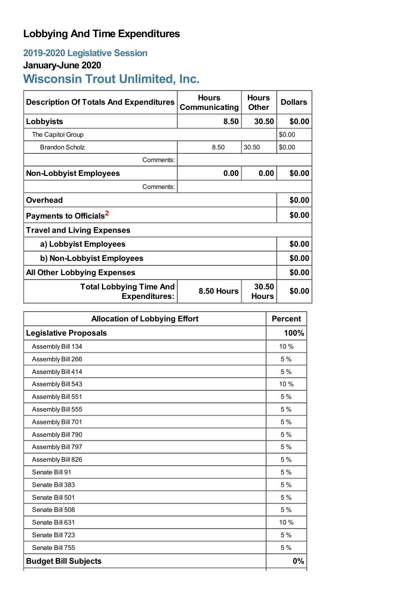# **Lobbying And Time Expenditures**

## **2019-2020 Legislative Session**

### **January-June 2020**

**Wisconsin Trout Unlimited, Inc.**

| <b>Description Of Totals And Expenditures</b>          | <b>Hours</b><br>Communicating | <b>Hours</b><br><b>Other</b> | <b>Dollars</b> |
|--------------------------------------------------------|-------------------------------|------------------------------|----------------|
| Lobbyists                                              | 8.50                          | 30.50                        | \$0.00         |
| The Capitol Group                                      |                               | \$0.00                       |                |
| Brandon Scholz                                         | 8.50                          | 30.50                        | \$0.00         |
| Comments:                                              |                               |                              |                |
| <b>Non-Lobbyist Employees</b>                          | 0.00                          | 0.00                         | \$0.00         |
| Comments:                                              |                               |                              |                |
| <b>Overhead</b>                                        |                               |                              | \$0.00         |
| Payments to Officials <sup>2</sup>                     |                               |                              | \$0.00         |
| <b>Travel and Living Expenses</b>                      |                               |                              |                |
| a) Lobbyist Employees                                  |                               |                              | \$0.00         |
| b) Non-Lobbyist Employees                              |                               |                              | \$0.00         |
| <b>All Other Lobbying Expenses</b>                     |                               |                              | \$0.00         |
| <b>Total Lobbying Time And</b><br><b>Expenditures:</b> | 8.50 Hours                    | 30.50<br><b>Hours</b>        | \$0.00         |

| <b>Allocation of Lobbying Effort</b> |       |
|--------------------------------------|-------|
| <b>Legislative Proposals</b>         | 100%  |
| Assembly Bill 134                    | 10 %  |
| Assembly Bill 266                    | 5 %   |
| Assembly Bill 414                    | 5%    |
| Assembly Bill 543                    | 10 %  |
| Assembly Bill 551                    | 5 %   |
| Assembly Bill 555                    | 5 %   |
| Assembly Bill 701                    | 5%    |
| Assembly Bill 790                    | 5 %   |
| Assembly Bill 797                    | 5 %   |
| Assembly Bill 826                    | 5 %   |
| Senate Bill 91                       | 5%    |
| Senate Bill 383                      | 5 %   |
| Senate Bill 501                      | 5 %   |
| Senate Bill 508                      | 5 %   |
| Senate Bill 631                      | 10 %  |
| Senate Bill 723                      | 5 %   |
| Senate Bill 755                      | 5 %   |
| <b>Budget Bill Subjects</b>          | $0\%$ |